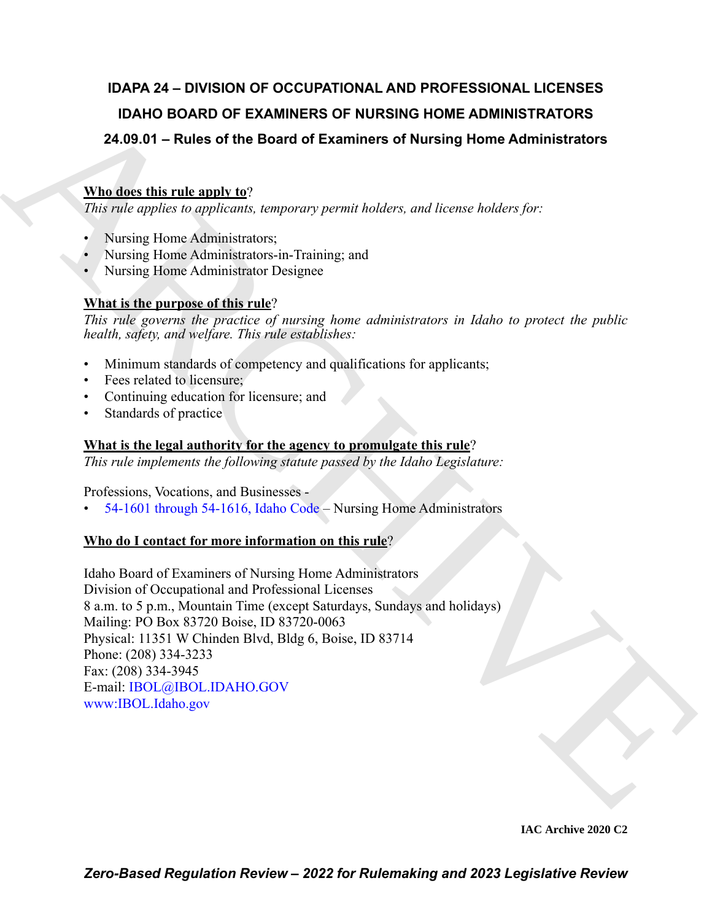### **IDAPA 24 – DIVISION OF OCCUPATIONAL AND PROFESSIONAL LICENSES IDAHO BOARD OF EXAMINERS OF NURSING HOME ADMINISTRATORS 24.09.01 – Rules of the Board of Examiners of Nursing Home Administrators**

### **Who does this rule apply to**?

*This rule applies to applicants, temporary permit holders, and license holders for:*

- Nursing Home Administrators;
- Nursing Home Administrators-in-Training; and
- Nursing Home Administrator Designee

#### **What is the purpose of this rule**?

*This rule governs the practice of nursing home administrators in Idaho to protect the public health, safety, and welfare. This rule establishes:*

- Minimum standards of competency and qualifications for applicants;
- Fees related to licensure;
- Continuing education for licensure; and
- Standards of practice

#### **What is the legal authority for the agency to promulgate this rule**?

*This rule implements the following statute passed by the Idaho Legislature:*

Professions, Vocations, and Businesses -

• 54-1601 through 54-1616, Idaho Code – Nursing Home Administrators

#### **Who do I contact for more information on this rule**?

IDA[H](https://legislature.idaho.gov/statutesrules/idstat/Title54/T54CH16/)O BOARD OF EXAMINERS OF NURSING HOME ADMINISTRATORS<br>
24.08.01 – Rules of the Board of Examines of Nursing Home Administrators<br>
What describes this relations:<br>
Although the supplements:<br>
A Rusing Home Administrators:<br> Idaho Board of Examiners of Nursing Home Administrators Division of Occupational and Professional Licenses 8 a.m. to 5 p.m., Mountain Time (except Saturdays, Sundays and holidays) Mailing: PO Box 83720 Boise, ID 83720-0063 Physical: 11351 W Chinden Blvd, Bldg 6, Boise, ID 83714 Phone: (208) 334-3233 Fax: (208) 334-3945 E-mail: IBOL@IBOL.IDAHO.GOV www:IBOL.Idaho.gov

**IAC Archive 2020 C2**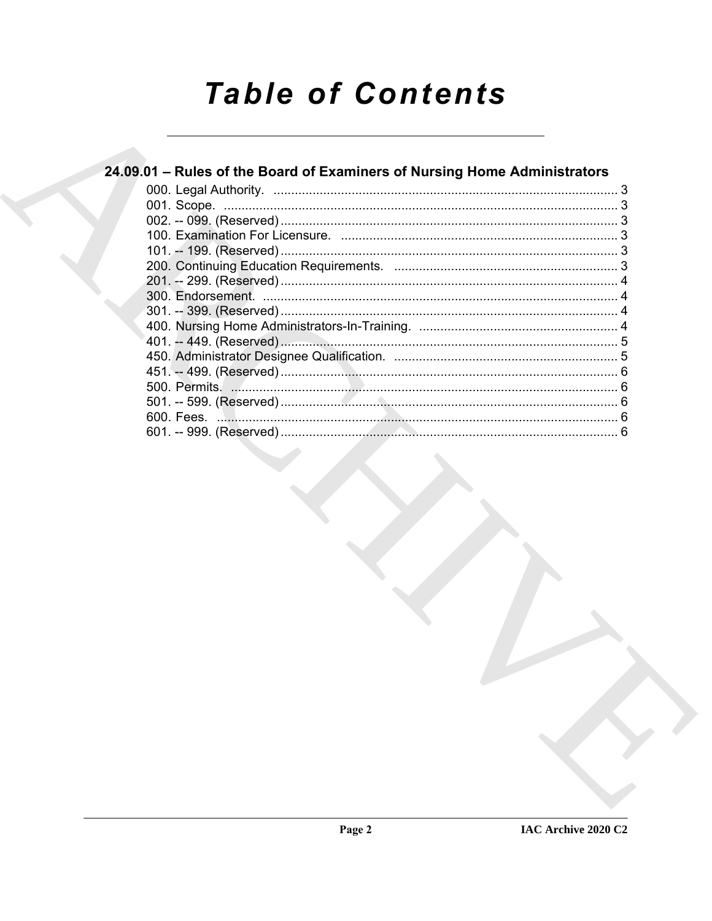# **Table of Contents**

| 24.09.01 – Rules of the Board of Examiners of Nursing Home Administrators |  |
|---------------------------------------------------------------------------|--|
|                                                                           |  |
|                                                                           |  |
|                                                                           |  |
|                                                                           |  |
|                                                                           |  |
|                                                                           |  |
|                                                                           |  |
|                                                                           |  |
|                                                                           |  |
|                                                                           |  |
|                                                                           |  |
|                                                                           |  |
|                                                                           |  |
|                                                                           |  |
|                                                                           |  |
|                                                                           |  |
|                                                                           |  |
|                                                                           |  |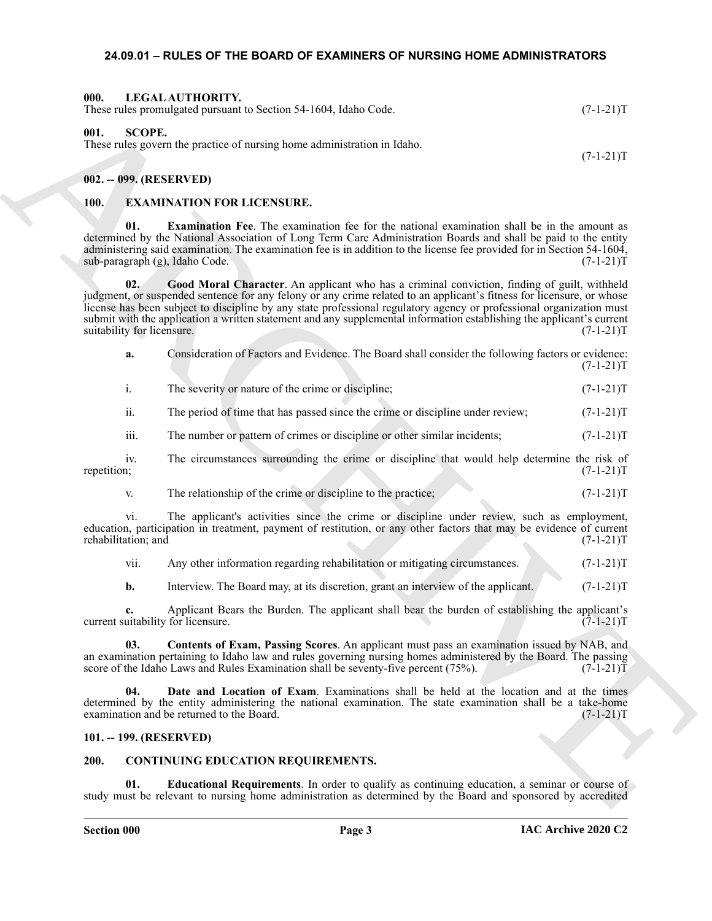#### <span id="page-2-14"></span><span id="page-2-0"></span>**24.09.01 – RULES OF THE BOARD OF EXAMINERS OF NURSING HOME ADMINISTRATORS**

#### <span id="page-2-1"></span>**000. LEGAL AUTHORITY.** These rules promulgated pursuant to Section 54-1604, Idaho Code. (7-1-21)T

#### <span id="page-2-15"></span><span id="page-2-2"></span>**001. SCOPE.**

These rules govern the practice of nursing home administration in Idaho.

<span id="page-2-3"></span>**002. -- 099. (RESERVED)**

#### <span id="page-2-12"></span><span id="page-2-9"></span><span id="page-2-4"></span>**100. EXAMINATION FOR LICENSURE.**

**Examination Fee.** The examination fee for the national examination shall be in the amount as determined by the National Association of Long Term Care Administration Boards and shall be paid to the entity administering said examination. The examination fee is in addition to the license fee provided for in Section 54-1604, sub-paragraph (g), Idaho Code.  $(7-1-21)$ T sub-paragraph (g), Idaho Code.

Hence Advertised a parameter Section 3 Febber, Linko Cock.<br>
(F.1-21)T<br>
SULL SCOPE (EXECUTION IN THE SECTION IN THE SECTION IN THE SECTION IN THE SECTION IN THE SECTION IN THE SECTION IN THE SECTION IN THE SECTION IN THE S **02. Good Moral Character**. An applicant who has a criminal conviction, finding of guilt, withheld judgment, or suspended sentence for any felony or any crime related to an applicant's fitness for licensure, or whose license has been subject to discipline by any state professional regulatory agency or professional organization must submit with the application a written statement and any supplemental information establishing the applicant's current suitability for licensure. (7-1-21)T suitability for licensure.

<span id="page-2-13"></span>

| a. |  |  | Consideration of Factors and Evidence. The Board shall consider the following factors or evidence: |             |
|----|--|--|----------------------------------------------------------------------------------------------------|-------------|
|    |  |  |                                                                                                    | $(7-1-21)T$ |

i. The severity or nature of the crime or discipline; (7-1-21)T

ii. The period of time that has passed since the crime or discipline under review; (7-1-21)T

iii. The number or pattern of crimes or discipline or other similar incidents; (7-1-21)T

iv. The circumstances surrounding the crime or discipline that would help determine the risk of n; repetition; (7-1-21)T

v. The relationship of the crime or discipline to the practice;  $(7-1-21)$ T

vi. The applicant's activities since the crime or discipline under review, such as employment, education, participation in treatment, payment of restitution, or any other factors that may be evidence of current rehabilitation; and (7-1-21)T

vii. Any other information regarding rehabilitation or mitigating circumstances. (7-1-21)T

<span id="page-2-10"></span>**b.** Interview. The Board may, at its discretion, grant an interview of the applicant. (7-1-21)T

**c.** Applicant Bears the Burden. The applicant shall bear the burden of establishing the applicant's uitability for licensure. (7-1-21)T current suitability for licensure.

**03. Contents of Exam, Passing Scores**. An applicant must pass an examination issued by NAB, and an examination pertaining to Idaho law and rules governing nursing homes administered by the Board. The passing score of the Idaho Laws and Rules Examination shall be seventy-five percent  $(75\%)$ .  $(7-1-21)T$ 

<span id="page-2-11"></span>**04. Date and Location of Exam**. Examinations shall be held at the location and at the times determined by the entity administering the national examination. The state examination shall be a take-home examination and be returned to the Board. (7-1-21) examination and be returned to the Board.

#### <span id="page-2-5"></span>**101. -- 199. (RESERVED)**

#### <span id="page-2-7"></span><span id="page-2-6"></span>**200. CONTINUING EDUCATION REQUIREMENTS.**

<span id="page-2-8"></span>**01. Educational Requirements**. In order to qualify as continuing education, a seminar or course of study must be relevant to nursing home administration as determined by the Board and sponsored by accredited

 $(7-1-21)T$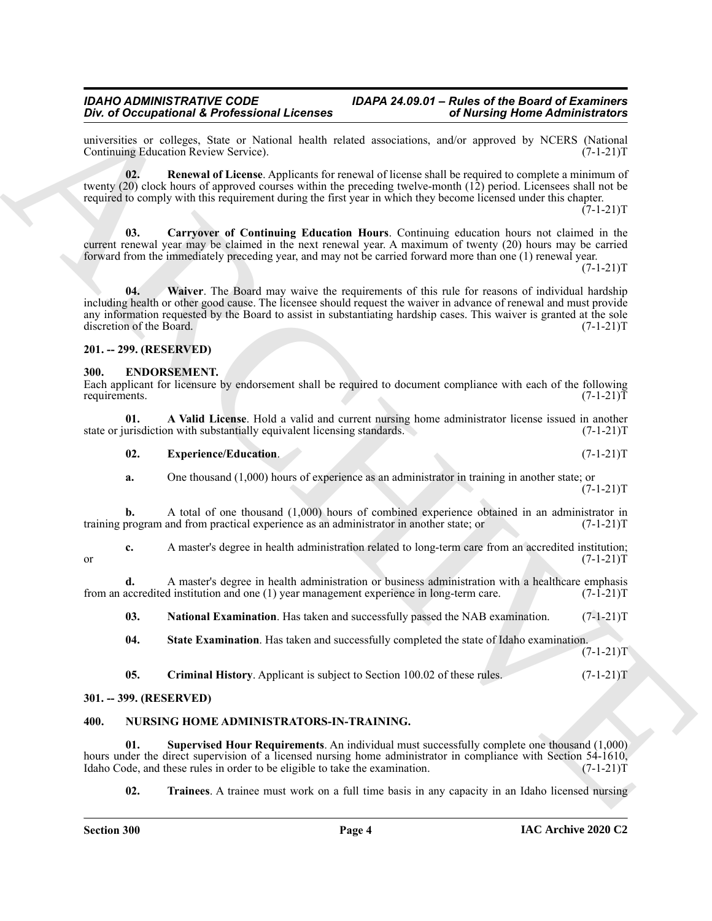## **Div. of Occupational & Professional Licenses**

universities or colleges, State or National health related associations, and/or approved by NCERS (National Continuing Education Review Service). (7-1-21)T Continuing Education Review Service).

<span id="page-3-5"></span>**02. Renewal of License**. Applicants for renewal of license shall be required to complete a minimum of twenty (20) clock hours of approved courses within the preceding twelve-month (12) period. Licensees shall not be required to comply with this requirement during the first year in which they become licensed under this chapter.  $(7-1-21)T$ 

<span id="page-3-6"></span><span id="page-3-4"></span>**03. Carryover of Continuing Education Hours**. Continuing education hours not claimed in the current renewal year may be claimed in the next renewal year. A maximum of twenty (20) hours may be carried forward from the immediately preceding year, and may not be carried forward more than one (1) renewal year.

 $(7-1-21)T$ 

One of Octomorforoid K Portform Internets<br>
one of Conservation of European C and the state of the state of the state of the state of the state of the state of the state of the state of the state of the state of the state **04. Waiver**. The Board may waive the requirements of this rule for reasons of individual hardship including health or other good cause. The licensee should request the waiver in advance of renewal and must provide any information requested by the Board to assist in substantiating hardship cases. This waiver is granted at the sole discretion of the Board. (7-1-21)T discretion of the Board.

#### <span id="page-3-0"></span>**201. -- 299. (RESERVED)**

#### <span id="page-3-7"></span><span id="page-3-1"></span>**300. ENDORSEMENT.**

Each applicant for licensure by endorsement shall be required to document compliance with each of the following requirements. (7-1-21) requirements.  $(7-1-21)T$ 

**01. A Valid License**. Hold a valid and current nursing home administrator license issued in another urisdiction with substantially equivalent licensing standards. (7-1-21) state or jurisdiction with substantially equivalent licensing standards.

<span id="page-3-10"></span><span id="page-3-8"></span>

| 02. | <b>Experience/Education.</b> | $(7-1-21)T$ |
|-----|------------------------------|-------------|
|     |                              |             |

**a.** One thousand (1,000) hours of experience as an administrator in training in another state; or  $(7-1-21)T$ 

**b.** A total of one thousand (1,000) hours of combined experience obtained in an administrator in program and from practical experience as an administrator in another state; or  $(7-1-21)$ training program and from practical experience as an administrator in another state; or

**c.** A master's degree in health administration related to long-term care from an accredited institution;<br>(7-1-21)T or  $(7-1-21)T$ 

**d.** A master's degree in health administration or business administration with a healthcare emphasis accredited institution and one (1) year management experience in long-term care.  $(7-1-21)$ from an accredited institution and one (1) year management experience in long-term care.

<span id="page-3-11"></span>**03. National Examination**. Has taken and successfully passed the NAB examination. (7-1-21)T

<span id="page-3-12"></span>**04. State Examination**. Has taken and successfully completed the state of Idaho examination.

<span id="page-3-13"></span><span id="page-3-9"></span>**05.** Criminal History. Applicant is subject to Section 100.02 of these rules. (7-1-21)

#### <span id="page-3-2"></span>**301. -- 399. (RESERVED)**

#### <span id="page-3-3"></span>**400. NURSING HOME ADMINISTRATORS-IN-TRAINING.**

**01. Supervised Hour Requirements**. An individual must successfully complete one thousand (1,000) hours under the direct supervision of a licensed nursing home administrator in compliance with Section 54-1610,<br>Idaho Code, and these rules in order to be eligible to take the examination. (7-1-21) Idaho Code, and these rules in order to be eligible to take the examination.

<span id="page-3-15"></span><span id="page-3-14"></span>**02. Trainees**. A trainee must work on a full time basis in any capacity in an Idaho licensed nursing

 $(7-1-21)T$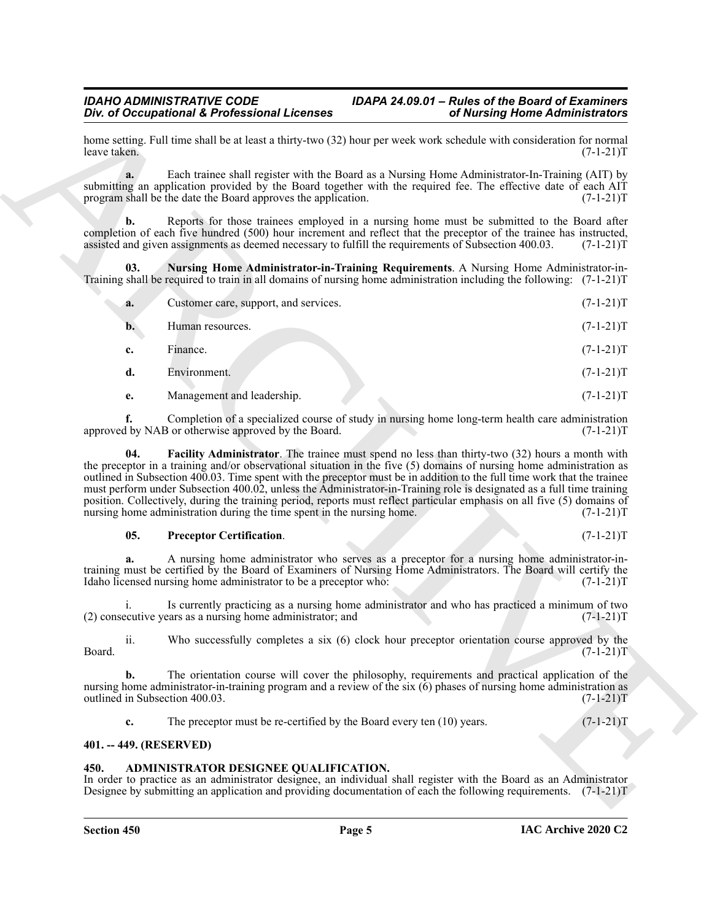<span id="page-4-4"></span>

| home setting. Full time shall be at least a thirty-two (32) hour per week work schedule with consideration for normal<br>leave taken.                                                                                                                                                                                                                                                                                                                                                                                                                                                                                                                                                          | $(7-1-21)T$ |
|------------------------------------------------------------------------------------------------------------------------------------------------------------------------------------------------------------------------------------------------------------------------------------------------------------------------------------------------------------------------------------------------------------------------------------------------------------------------------------------------------------------------------------------------------------------------------------------------------------------------------------------------------------------------------------------------|-------------|
| Each trainee shall register with the Board as a Nursing Home Administrator-In-Training (AIT) by<br>a.<br>submitting an application provided by the Board together with the required fee. The effective date of each AIT<br>program shall be the date the Board approves the application.                                                                                                                                                                                                                                                                                                                                                                                                       | $(7-1-21)T$ |
| Reports for those trainees employed in a nursing home must be submitted to the Board after<br>b.<br>completion of each five hundred (500) hour increment and reflect that the preceptor of the trainee has instructed,<br>assisted and given assignments as deemed necessary to fulfill the requirements of Subsection 400.03.                                                                                                                                                                                                                                                                                                                                                                 | $(7-1-21)T$ |
| Nursing Home Administrator-in-Training Requirements. A Nursing Home Administrator-in-<br>03.<br>Training shall be required to train in all domains of nursing home administration including the following: $(7-1-21)$ T                                                                                                                                                                                                                                                                                                                                                                                                                                                                        |             |
| Customer care, support, and services.<br>a.                                                                                                                                                                                                                                                                                                                                                                                                                                                                                                                                                                                                                                                    | $(7-1-21)T$ |
| Human resources.<br>b.                                                                                                                                                                                                                                                                                                                                                                                                                                                                                                                                                                                                                                                                         | $(7-1-21)T$ |
| Finance.<br>c.                                                                                                                                                                                                                                                                                                                                                                                                                                                                                                                                                                                                                                                                                 | $(7-1-21)T$ |
| d.<br>Environment.                                                                                                                                                                                                                                                                                                                                                                                                                                                                                                                                                                                                                                                                             | $(7-1-21)T$ |
| Management and leadership.<br>e.                                                                                                                                                                                                                                                                                                                                                                                                                                                                                                                                                                                                                                                               | $(7-1-21)T$ |
| Completion of a specialized course of study in nursing home long-term health care administration<br>f.<br>approved by NAB or otherwise approved by the Board.                                                                                                                                                                                                                                                                                                                                                                                                                                                                                                                                  | $(7-1-21)T$ |
| <b>Facility Administrator</b> . The trainee must spend no less than thirty-two (32) hours a month with<br>04.<br>the preceptor in a training and/or observational situation in the five (5) domains of nursing home administration as<br>outlined in Subsection 400.03. Time spent with the preceptor must be in addition to the full time work that the trainee<br>must perform under Subsection 400.02, unless the Administrator-in-Training role is designated as a full time training<br>position. Collectively, during the training period, reports must reflect particular emphasis on all five (5) domains of<br>nursing home administration during the time spent in the nursing home. | $(7-1-21)T$ |
| 05.<br><b>Preceptor Certification.</b>                                                                                                                                                                                                                                                                                                                                                                                                                                                                                                                                                                                                                                                         | $(7-1-21)T$ |
| A nursing home administrator who serves as a preceptor for a nursing home administrator-in-<br>training must be certified by the Board of Examiners of Nursing Home Administrators. The Board will certify the<br>Idaho licensed nursing home administrator to be a preceptor who:                                                                                                                                                                                                                                                                                                                                                                                                             | $(7-1-21)T$ |
| Is currently practicing as a nursing home administrator and who has practiced a minimum of two<br>(2) consecutive years as a nursing home administrator; and                                                                                                                                                                                                                                                                                                                                                                                                                                                                                                                                   | $(7-1-21)T$ |
| ii.<br>Who successfully completes a six (6) clock hour preceptor orientation course approved by the<br>Board.                                                                                                                                                                                                                                                                                                                                                                                                                                                                                                                                                                                  | $(7-1-21)T$ |
| The orientation course will cover the philosophy, requirements and practical application of the<br>b.<br>nursing home administrator-in-training program and a review of the six $(6)$ phases of nursing home administration as<br>outlined in Subsection 400.03.                                                                                                                                                                                                                                                                                                                                                                                                                               | $(7-1-21)T$ |
| The preceptor must be re-certified by the Board every ten $(10)$ years.<br>c.                                                                                                                                                                                                                                                                                                                                                                                                                                                                                                                                                                                                                  | $(7-1-21)T$ |
|                                                                                                                                                                                                                                                                                                                                                                                                                                                                                                                                                                                                                                                                                                |             |

#### <span id="page-4-5"></span><span id="page-4-3"></span>**05. Preceptor Certification**. (7-1-21)T

#### <span id="page-4-0"></span>**401. -- 449. (RESERVED)**

#### <span id="page-4-2"></span><span id="page-4-1"></span>**450. ADMINISTRATOR DESIGNEE QUALIFICATION.**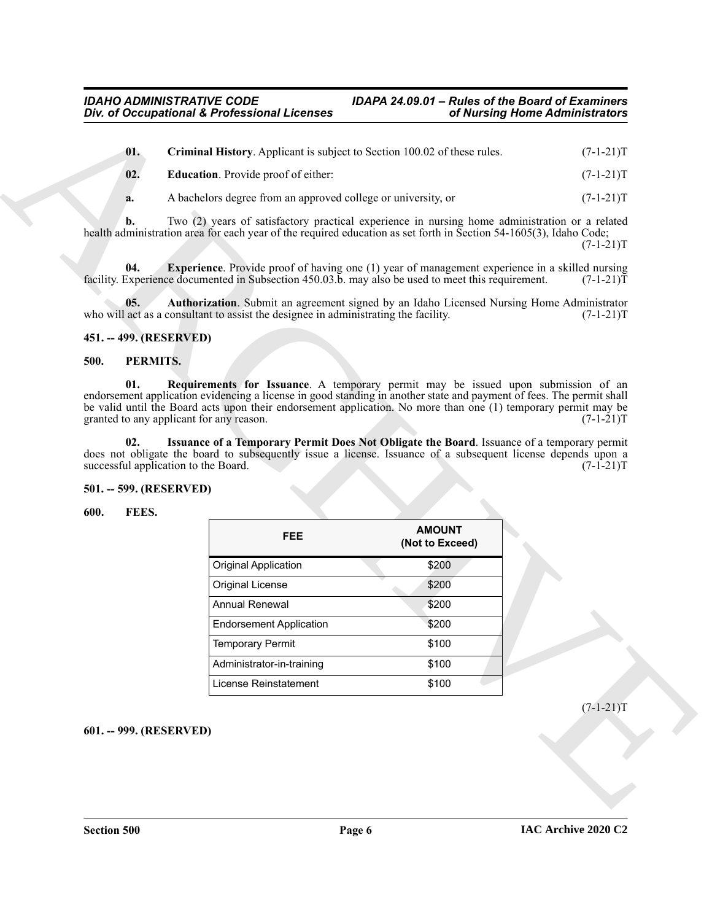<span id="page-5-7"></span><span id="page-5-6"></span>

| 01. | Criminal History. Applicant is subject to Section 100.02 of these rules. | $(7-1-21)T$ |
|-----|--------------------------------------------------------------------------|-------------|
| 02. | <b>Education.</b> Provide proof of either:                               | $(7-1-21)T$ |

#### <span id="page-5-8"></span><span id="page-5-5"></span><span id="page-5-0"></span>**451. -- 499. (RESERVED)**

#### <span id="page-5-12"></span><span id="page-5-10"></span><span id="page-5-1"></span>**500. PERMITS.**

#### <span id="page-5-11"></span><span id="page-5-2"></span>**501. -- 599. (RESERVED)**

#### <span id="page-5-9"></span><span id="page-5-4"></span><span id="page-5-3"></span>**600. FEES.**

|                         | Div. of Occupational & Professional Licenses                                                                                                                                                                                                                                       | of Nursing Home Administrators   |             |
|-------------------------|------------------------------------------------------------------------------------------------------------------------------------------------------------------------------------------------------------------------------------------------------------------------------------|----------------------------------|-------------|
| 01.                     | Criminal History. Applicant is subject to Section 100.02 of these rules.                                                                                                                                                                                                           |                                  | $(7-1-21)T$ |
| 02.                     | <b>Education</b> . Provide proof of either:                                                                                                                                                                                                                                        |                                  | $(7-1-21)T$ |
| a.                      | A bachelors degree from an approved college or university, or                                                                                                                                                                                                                      |                                  | $(7-1-21)T$ |
| b.                      | Two (2) years of satisfactory practical experience in nursing home administration or a related<br>health administration area for each year of the required education as set forth in Section 54-1605(3), Idaho Code;                                                               |                                  | $(7-1-21)T$ |
| 04.                     | <b>Experience</b> . Provide proof of having one (1) year of management experience in a skilled nursing<br>facility. Experience documented in Subsection 450.03.b. may also be used to meet this requirement.                                                                       |                                  | $(7-1-21)$  |
| 05.                     | Authorization. Submit an agreement signed by an Idaho Licensed Nursing Home Administrator<br>who will act as a consultant to assist the designee in administrating the facility.                                                                                                   |                                  | $(7-1-21)T$ |
| 451. -- 499. (RESERVED) |                                                                                                                                                                                                                                                                                    |                                  |             |
| 500.                    | PERMITS.                                                                                                                                                                                                                                                                           |                                  |             |
|                         | endorsement application evidencing a license in good standing in another state and payment of fees. The permit shall<br>be valid until the Board acts upon their endorsement application. No more than one (1) temporary permit may be<br>granted to any applicant for any reason. |                                  | $(7-1-21)T$ |
| 02.                     | Issuance of a Temporary Permit Does Not Obligate the Board. Issuance of a temporary permit<br>does not obligate the board to subsequently issue a license. Issuance of a subsequent license depends upon a                                                                         |                                  |             |
|                         | successful application to the Board.                                                                                                                                                                                                                                               |                                  | $(7-1-21)T$ |
| 501. -- 599. (RESERVED) |                                                                                                                                                                                                                                                                                    |                                  |             |
| FEES.<br>600.           | <b>FEE</b>                                                                                                                                                                                                                                                                         | <b>AMOUNT</b><br>(Not to Exceed) |             |
|                         | <b>Original Application</b>                                                                                                                                                                                                                                                        | \$200                            |             |
|                         | Original License                                                                                                                                                                                                                                                                   | \$200                            |             |
|                         | <b>Annual Renewal</b>                                                                                                                                                                                                                                                              | \$200                            |             |
|                         | <b>Endorsement Application</b>                                                                                                                                                                                                                                                     | \$200                            |             |
|                         | <b>Temporary Permit</b>                                                                                                                                                                                                                                                            | \$100                            |             |
|                         | Administrator-in-training                                                                                                                                                                                                                                                          | \$100                            |             |
|                         | License Reinstatement                                                                                                                                                                                                                                                              | \$100                            |             |
|                         |                                                                                                                                                                                                                                                                                    |                                  |             |
| 601. -- 999. (RESERVED) |                                                                                                                                                                                                                                                                                    |                                  | $(7-1-21)T$ |
|                         |                                                                                                                                                                                                                                                                                    |                                  |             |
|                         |                                                                                                                                                                                                                                                                                    |                                  |             |